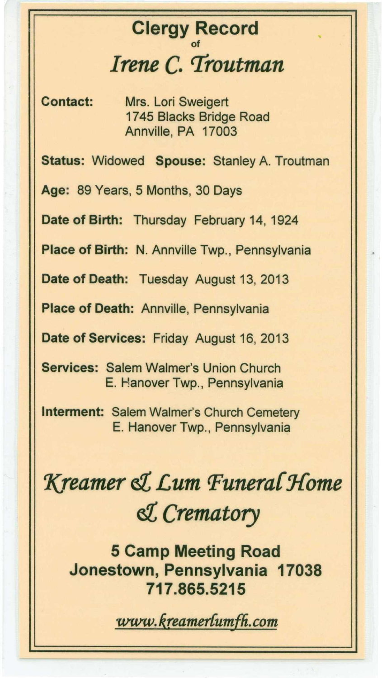## **Clergy Record** of *Irene* **C.** *Troutman*

..

**Contact:** Mrs. Lori Sweigert 1745 Blacks Bridge Road Annville, PA 17003

**Status:** Widowed **Spouse:** Stanley A. Troutman

**Age:** 89 Years, 5 Months, 30 Days

**Date of Birth:** Thursday February 14, 1924

**Place of Birth:** N. Annville Twp., Pennsylvania

**Date of Death:** Tuesday August 13, 2013

**Place of Death:** Annville, Pennsylvania

**Date of Services:** Friday August 16, 2013

**Services:** Salem Walmer's Union Church E. Hanover Twp., Pennsylvania

**Interment:** Salem Walmer's Church Cemetery E. Hanover Twp., Pennsylvania

## *'Kreamer ~ £um Punera{J{ome ~ Crematory*

**5 Camp Meeting Road Jonestown, Pennsylvania 17038 717.865.5215**

 $www.kreamer{\text{tumfh}}.com$